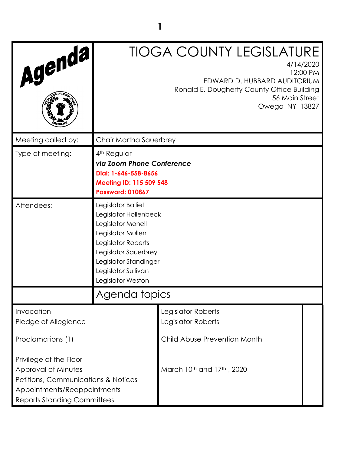| Agenda,                                                                                                                                                   |                                                                                                                                                                                                          | <b>TIOGA COUNTY LEGISLATURE</b><br>4/14/2020<br>12:00 PM<br>EDWARD D. HUBBARD AUDITORIUM<br>Ronald E. Dougherty County Office Building<br>56 Main Street<br>Owego NY 13827 |  |
|-----------------------------------------------------------------------------------------------------------------------------------------------------------|----------------------------------------------------------------------------------------------------------------------------------------------------------------------------------------------------------|----------------------------------------------------------------------------------------------------------------------------------------------------------------------------|--|
| Meeting called by:                                                                                                                                        | Chair Martha Sauerbrey                                                                                                                                                                                   |                                                                                                                                                                            |  |
| Type of meeting:                                                                                                                                          | 4 <sup>th</sup> Regular<br>via Zoom Phone Conference<br>Dial: 1-646-558-8656<br>Meeting ID: 115 509 548<br><b>Password: 010867</b>                                                                       |                                                                                                                                                                            |  |
| Attendees:                                                                                                                                                | Legislator Balliet<br>Legislator Hollenbeck<br>Legislator Monell<br>Legislator Mullen<br>Legislator Roberts<br>Legislator Sauerbrey<br>Legislator Standinger<br>Legislator Sullivan<br>Legislator Weston |                                                                                                                                                                            |  |
|                                                                                                                                                           | Agenda topics                                                                                                                                                                                            |                                                                                                                                                                            |  |
| Invocation<br>Pledge of Allegiance                                                                                                                        |                                                                                                                                                                                                          | Legislator Roberts<br>Legislator Roberts                                                                                                                                   |  |
| Proclamations (1)                                                                                                                                         |                                                                                                                                                                                                          | Child Abuse Prevention Month                                                                                                                                               |  |
| Privilege of the Floor<br>Approval of Minutes<br>Petitions, Communications & Notices<br>Appointments/Reappointments<br><b>Reports Standing Committees</b> |                                                                                                                                                                                                          | March 10 <sup>th</sup> and 17 <sup>th</sup> , 2020                                                                                                                         |  |

**1**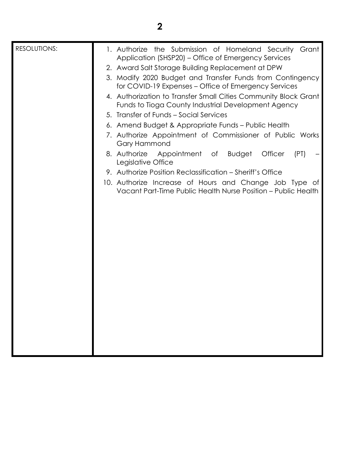## **2**

| 1. Authorize the Submission of Homeland Security<br>Grant                                                              |
|------------------------------------------------------------------------------------------------------------------------|
|                                                                                                                        |
| 3. Modify 2020 Budget and Transfer Funds from Contingency                                                              |
| for COVID-19 Expenses – Office of Emergency Services                                                                   |
| 4. Authorization to Transfer Small Cities Community Block Grant<br>Funds to Tioga County Industrial Development Agency |
|                                                                                                                        |
|                                                                                                                        |
| 7. Authorize Appointment of Commissioner of Public Works                                                               |
| (PT)                                                                                                                   |
|                                                                                                                        |
| 10. Authorize Increase of Hours and Change Job Type of                                                                 |
| Vacant Part-Time Public Health Nurse Position - Public Health                                                          |
|                                                                                                                        |
|                                                                                                                        |
|                                                                                                                        |
|                                                                                                                        |
|                                                                                                                        |
|                                                                                                                        |
|                                                                                                                        |
|                                                                                                                        |
|                                                                                                                        |
|                                                                                                                        |
|                                                                                                                        |
|                                                                                                                        |
|                                                                                                                        |
|                                                                                                                        |
|                                                                                                                        |
| Application (SHSP20) – Office of Emergency Services                                                                    |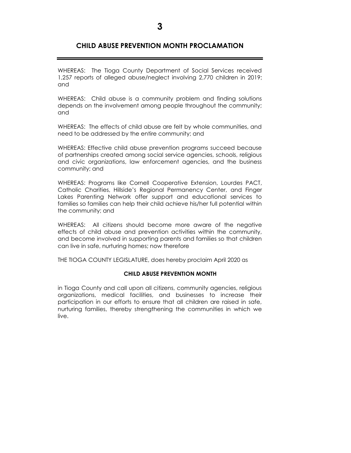## **CHILD ABUSE PREVENTION MONTH PROCLAMATION**

WHEREAS: The Tioga County Department of Social Services received 1,257 reports of alleged abuse/neglect involving 2,770 children in 2019; and

WHEREAS: Child abuse is a community problem and finding solutions depends on the involvement among people throughout the community; and

WHEREAS: The effects of child abuse are felt by whole communities, and need to be addressed by the entire community; and

WHEREAS: Effective child abuse prevention programs succeed because of partnerships created among social service agencies, schools, religious and civic organizations, law enforcement agencies, and the business community; and

WHEREAS: Programs like Cornell Cooperative Extension, Lourdes PACT, Catholic Charities, Hillside's Regional Permanency Center, and Finger Lakes Parenting Network offer support and educational services to families so families can help their child achieve his/her full potential within the community; and

WHEREAS: All citizens should become more aware of the negative effects of child abuse and prevention activities within the community, and become involved in supporting parents and families so that children can live in safe, nurturing homes; now therefore

THE TIOGA COUNTY LEGISLATURE, does hereby proclaim April 2020 as

## **CHILD ABUSE PREVENTION MONTH**

in Tioga County and call upon all citizens, community agencies, religious organizations, medical facilities, and businesses to increase their participation in our efforts to ensure that all children are raised in safe, nurturing families, thereby strengthening the communities in which we live.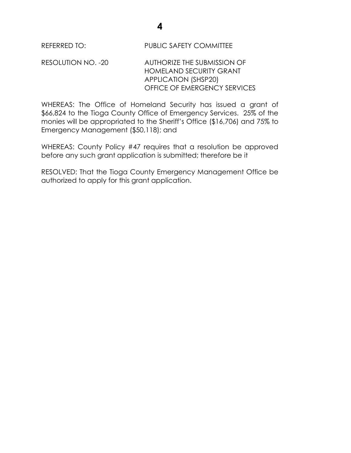REFERRED TO: PUBLIC SAFETY COMMITTEE

RESOLUTION NO. -20 AUTHORIZE THE SUBMISSION OF HOMELAND SECURITY GRANT APPLICATION (SHSP20) OFFICE OF EMERGENCY SERVICES

WHEREAS: The Office of Homeland Security has issued a grant of \$66,824 to the Tioga County Office of Emergency Services. 25% of the monies will be appropriated to the Sheriff's Office (\$16,706) and 75% to Emergency Management (\$50,118); and

WHEREAS: County Policy #47 requires that a resolution be approved before any such grant application is submitted; therefore be it

RESOLVED: That the Tioga County Emergency Management Office be authorized to apply for this grant application.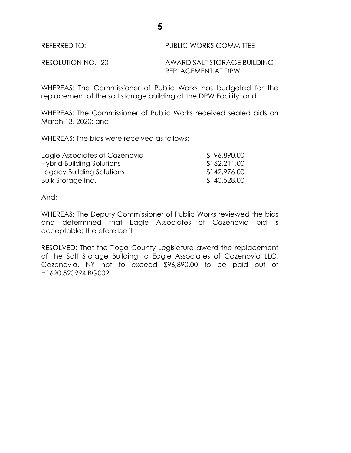REFERRED TO: **PUBLIC WORKS COMMITTEE** 

RESOLUTION NO. -20 AWARD SALT STORAGE BUILDING REPLACEMENT AT DPW

WHEREAS: The Commissioner of Public Works has budgeted for the replacement of the salt storage building at the DPW Facility; and

WHEREAS: The Commissioner of Public Works received sealed bids on March 13, 2020; and

WHEREAS: The bids were received as follows:

| Eagle Associates of Cazenovia | \$96,890.00  |
|-------------------------------|--------------|
| Hybrid Building Solutions     | \$162,211.00 |
| Legacy Building Solutions     | \$142,976.00 |
| Bulk Storage Inc.             | \$140,528.00 |

And;

WHEREAS: The Deputy Commissioner of Public Works reviewed the bids and determined that Eagle Associates of Cazenovia bid is acceptable; therefore be it

RESOLVED: That the Tioga County Legislature award the replacement of the Salt Storage Building to Eagle Associates of Cazenovia LLC, Cazenovia, NY not to exceed \$96,890.00 to be paid out of H1620.520994.BG002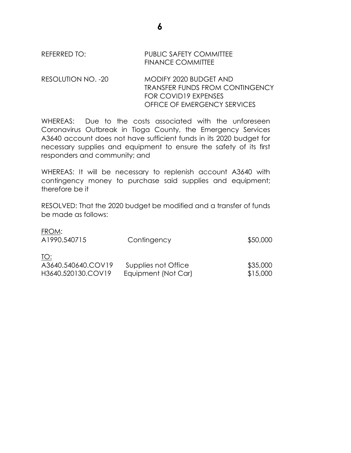REFERRED TO: PUBLIC SAFETY COMMITTEE FINANCE COMMITTEE

RESOLUTION NO. -20 MODIFY 2020 BUDGET AND TRANSFER FUNDS FROM CONTINGENCY FOR COVID19 EXPENSES OFFICE OF EMERGENCY SERVICES

**6**

WHEREAS: Due to the costs associated with the unforeseen Coronavirus Outbreak in Tioga County, the Emergency Services A3640 account does not have sufficient funds in its 2020 budget for necessary supplies and equipment to ensure the safety of its first responders and community; and

WHEREAS: It will be necessary to replenish account A3640 with contingency money to purchase said supplies and equipment; therefore be it

RESOLVED: That the 2020 budget be modified and a transfer of funds be made as follows:

| FROM:<br>A1990.540715                           | Contingency                                | \$50,000             |
|-------------------------------------------------|--------------------------------------------|----------------------|
| TO:<br>A3640.540640.COV19<br>H3640.520130.COV19 | Supplies not Office<br>Equipment (Not Car) | \$35,000<br>\$15,000 |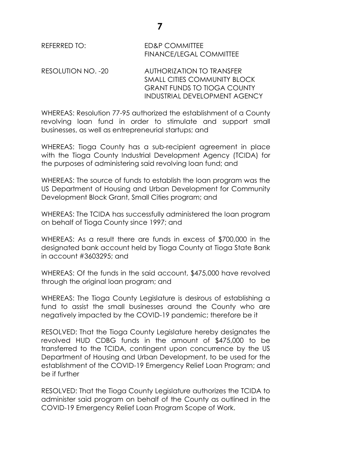REFERRED TO: ED&P COMMITTEE FINANCE/LEGAL COMMITTEE

RESOLUTION NO. -20 AUTHORIZATION TO TRANSFER SMALL CITIES COMMUNITY BLOCK GRANT FUNDS TO TIOGA COUNTY INDUSTRIAL DEVELOPMENT AGENCY

WHEREAS: Resolution 77-95 authorized the establishment of a County revolving loan fund in order to stimulate and support small businesses, as well as entrepreneurial startups; and

WHEREAS: Tioga County has a sub-recipient agreement in place with the Tioga County Industrial Development Agency (TCIDA) for the purposes of administering said revolving loan fund; and

WHEREAS: The source of funds to establish the loan program was the US Department of Housing and Urban Development for Community Development Block Grant, Small Cities program; and

WHEREAS: The TCIDA has successfully administered the loan program on behalf of Tioga County since 1997; and

WHEREAS: As a result there are funds in excess of \$700,000 in the designated bank account held by Tioga County at Tioga State Bank in account #3603295; and

WHEREAS: Of the funds in the said account, \$475,000 have revolved through the original loan program; and

WHEREAS: The Tioga County Legislature is desirous of establishing a fund to assist the small businesses around the County who are negatively impacted by the COVID-19 pandemic; therefore be it

RESOLVED: That the Tioga County Legislature hereby designates the revolved HUD CDBG funds in the amount of \$475,000 to be transferred to the TCIDA, contingent upon concurrence by the US Department of Housing and Urban Development, to be used for the establishment of the COVID-19 Emergency Relief Loan Program; and be if further

RESOLVED: That the Tioga County Legislature authorizes the TCIDA to administer said program on behalf of the County as outlined in the COVID-19 Emergency Relief Loan Program Scope of Work.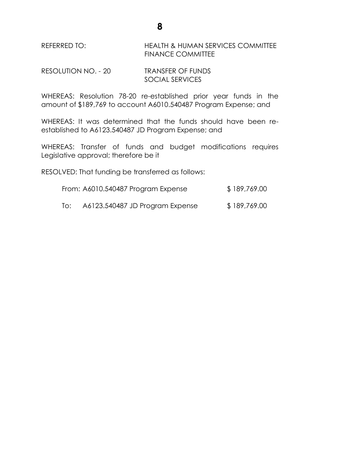REFERRED TO: HEALTH & HUMAN SERVICES COMMITTEE FINANCE COMMITTEE

RESOLUTION NO. - 20 TRANSFER OF FUNDS SOCIAL SERVICES

WHEREAS: Resolution 78-20 re-established prior year funds in the amount of \$189,769 to account A6010.540487 Program Expense; and

WHEREAS: It was determined that the funds should have been reestablished to A6123.540487 JD Program Expense; and

WHEREAS: Transfer of funds and budget modifications requires Legislative approval; therefore be it

RESOLVED: That funding be transferred as follows:

| From: A6010.540487 Program Expense | \$189,769.00 |
|------------------------------------|--------------|
|------------------------------------|--------------|

To: A6123.540487 JD Program Expense \$ 189,769.00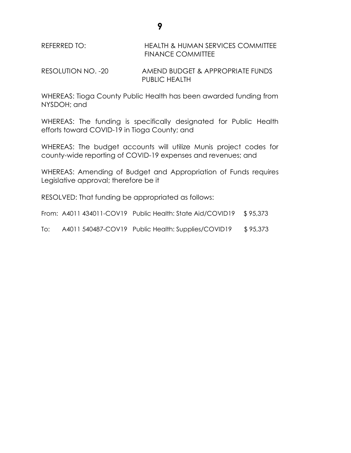REFERRED TO: HEALTH & HUMAN SERVICES COMMITTEE FINANCE COMMITTEE

RESOLUTION NO. -20 AMEND BUDGET & APPROPRIATE FUNDS PUBLIC HEALTH

WHEREAS: Tioga County Public Health has been awarded funding from NYSDOH; and

WHEREAS: The funding is specifically designated for Public Health efforts toward COVID-19 in Tioga County; and

WHEREAS: The budget accounts will utilize Munis project codes for county-wide reporting of COVID-19 expenses and revenues; and

WHEREAS: Amending of Budget and Appropriation of Funds requires Legislative approval; therefore be it

RESOLVED: That funding be appropriated as follows:

From: A4011 434011-COV19 Public Health: State Aid/COVID19 \$95,373

To: A4011 540487-COV19 Public Health: Supplies/COVID19 \$95,373

**9**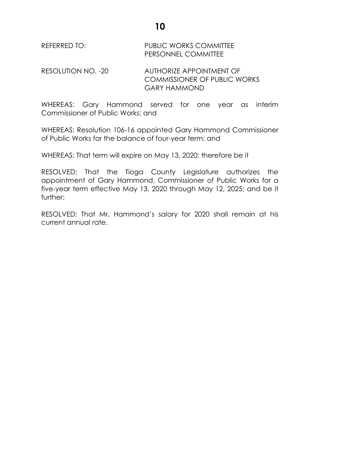REFERRED TO: PUBLIC WORKS COMMITTEE PERSONNEL COMMITTEE

RESOLUTION NO. -20 AUTHORIZE APPOINTMENT OF COMMISSIONER OF PUBLIC WORKS GARY HAMMOND

WHEREAS: Gary Hammond served for one year as interim Commissioner of Public Works; and

WHEREAS: Resolution 106-16 appointed Gary Hammond Commissioner of Public Works for the balance of four-year term; and

WHEREAS: That term will expire on May 13, 2020; therefore be it

RESOLVED: That the Tioga County Legislature authorizes the appointment of Gary Hammond, Commissioner of Public Works for a five-year term effective May 13, 2020 through May 12, 2025; and be it further:

RESOLVED: That Mr. Hammond's salary for 2020 shall remain at his current annual rate.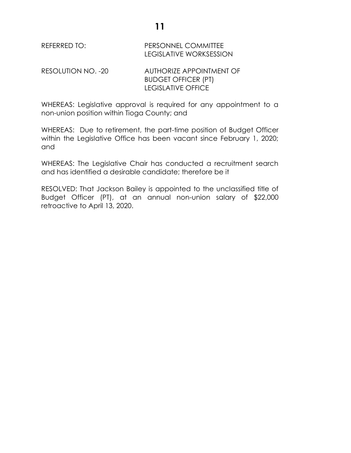REFERRED TO: PERSONNEL COMMITTEE LEGISLATIVE WORKSESSION

RESOLUTION NO. -20 AUTHORIZE APPOINTMENT OF BUDGET OFFICER (PT) LEGISLATIVE OFFICE

WHEREAS: Legislative approval is required for any appointment to a non-union position within Tioga County; and

WHEREAS: Due to retirement, the part-time position of Budget Officer within the Legislative Office has been vacant since February 1, 2020; and

WHEREAS: The Legislative Chair has conducted a recruitment search and has identified a desirable candidate; therefore be it

RESOLVED: That Jackson Bailey is appointed to the unclassified title of Budget Officer (PT), at an annual non-union salary of \$22,000 retroactive to April 13, 2020.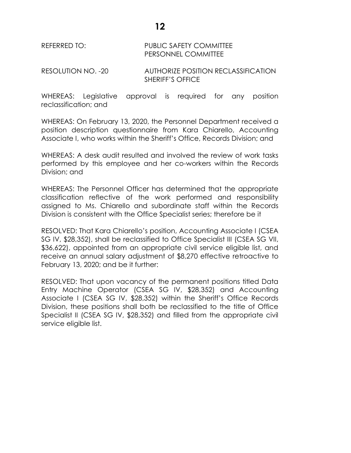## REFERRED TO: PUBLIC SAFETY COMMITTEE PERSONNEL COMMITTEE

RESOLUTION NO. -20 AUTHORIZE POSITION RECLASSIFICATION SHERIFF'S OFFICE

WHEREAS: Legislative approval is required for any position reclassification; and

WHEREAS: On February 13, 2020, the Personnel Department received a position description questionnaire from Kara Chiarello, Accounting Associate I, who works within the Sheriff's Office, Records Division; and

WHEREAS: A desk audit resulted and involved the review of work tasks performed by this employee and her co-workers within the Records Division; and

WHEREAS: The Personnel Officer has determined that the appropriate classification reflective of the work performed and responsibility assigned to Ms. Chiarello and subordinate staff within the Records Division is consistent with the Office Specialist series; therefore be it

RESOLVED: That Kara Chiarello's position, Accounting Associate I (CSEA SG IV, \$28,352), shall be reclassified to Office Specialist III (CSEA SG VII, \$36,622), appointed from an appropriate civil service eligible list, and receive an annual salary adjustment of \$8,270 effective retroactive to February 13, 2020; and be it further:

RESOLVED: That upon vacancy of the permanent positions titled Data Entry Machine Operator (CSEA SG IV, \$28,352) and Accounting Associate I (CSEA SG IV, \$28,352) within the Sheriff's Office Records Division, these positions shall both be reclassified to the title of Office Specialist II (CSEA SG IV, \$28,352) and filled from the appropriate civil service eligible list.